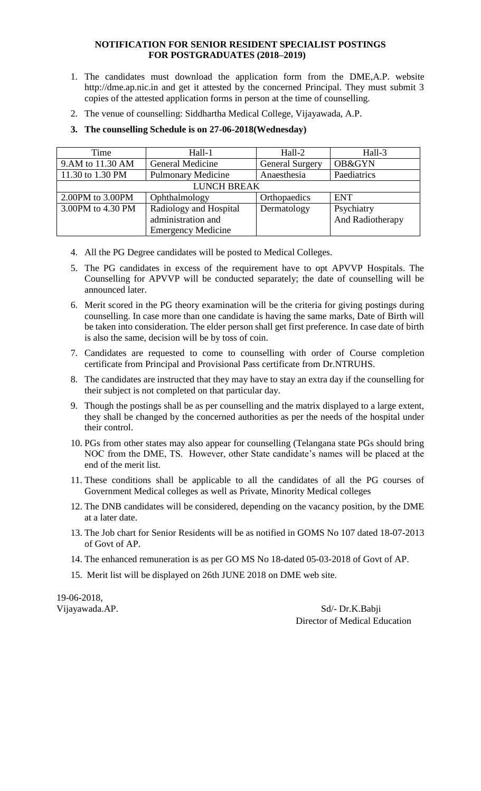## **NOTIFICATION FOR SENIOR RESIDENT SPECIALIST POSTINGS FOR POSTGRADUATES (2018–2019)**

- 1. The candidates must download the application form from the DME,A.P. website http://dme.ap.nic.in and get it attested by the concerned Principal. They must submit 3 copies of the attested application forms in person at the time of counselling.
- 2. The venue of counselling: Siddhartha Medical College, Vijayawada, A.P.

| Time               | Hall-1                    | Hall-2                 | Hall-3           |  |  |  |  |  |  |
|--------------------|---------------------------|------------------------|------------------|--|--|--|--|--|--|
| 9.AM to 11.30 AM   | <b>General Medicine</b>   | <b>General Surgery</b> | OB&GYN           |  |  |  |  |  |  |
| 11.30 to 1.30 PM   | <b>Pulmonary Medicine</b> | Anaesthesia            | Paediatrics      |  |  |  |  |  |  |
| <b>LUNCH BREAK</b> |                           |                        |                  |  |  |  |  |  |  |
| 2.00PM to 3.00PM   | Ophthalmology             | Orthopaedics           | <b>ENT</b>       |  |  |  |  |  |  |
| 3.00PM to 4.30 PM  | Radiology and Hospital    | Dermatology            | Psychiatry       |  |  |  |  |  |  |
|                    | administration and        |                        | And Radiotherapy |  |  |  |  |  |  |
|                    | <b>Emergency Medicine</b> |                        |                  |  |  |  |  |  |  |

**3. The counselling Schedule is on 27-06-2018(Wednesday)**

- 4. All the PG Degree candidates will be posted to Medical Colleges.
- 5. The PG candidates in excess of the requirement have to opt APVVP Hospitals. The Counselling for APVVP will be conducted separately; the date of counselling will be announced later.
- 6. Merit scored in the PG theory examination will be the criteria for giving postings during counselling. In case more than one candidate is having the same marks, Date of Birth will be taken into consideration. The elder person shall get first preference. In case date of birth is also the same, decision will be by toss of coin.
- 7. Candidates are requested to come to counselling with order of Course completion certificate from Principal and Provisional Pass certificate from Dr.NTRUHS.
- 8. The candidates are instructed that they may have to stay an extra day if the counselling for their subject is not completed on that particular day.
- 9. Though the postings shall be as per counselling and the matrix displayed to a large extent, they shall be changed by the concerned authorities as per the needs of the hospital under their control.
- 10. PGs from other states may also appear for counselling (Telangana state PGs should bring NOC from the DME, TS. However, other State candidate's names will be placed at the end of the merit list.
- 11. These conditions shall be applicable to all the candidates of all the PG courses of Government Medical colleges as well as Private, Minority Medical colleges
- 12. The DNB candidates will be considered, depending on the vacancy position, by the DME at a later date.
- 13. The Job chart for Senior Residents will be as notified in GOMS No 107 dated 18-07-2013 of Govt of AP.
- 14. The enhanced remuneration is as per GO MS No 18-dated 05-03-2018 of Govt of AP.
- 15. Merit list will be displayed on 26th JUNE 2018 on DME web site.

19-06-2018,

Vijayawada.AP. Sd/- Dr.K.Babji Director of Medical Education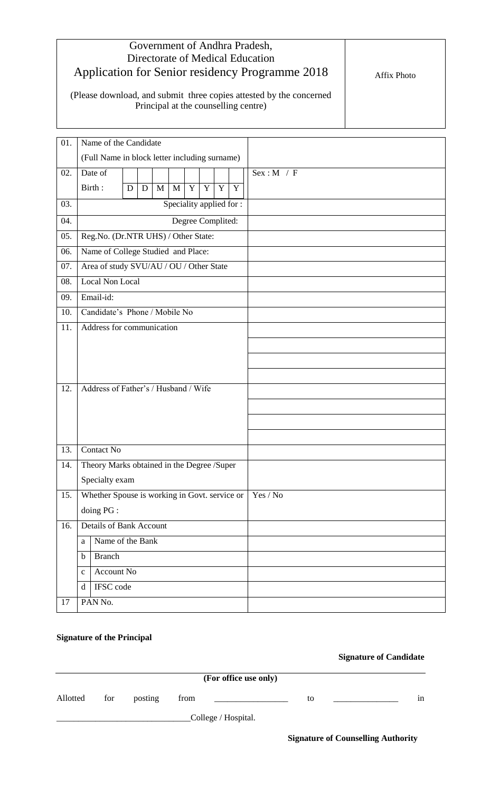| Government of Andhra Pradesh,<br>Directorate of Medical Education<br>Application for Senior residency Programme 2018<br>(Please download, and submit three copies attested by the concerned | Affix Photo |
|---------------------------------------------------------------------------------------------------------------------------------------------------------------------------------------------|-------------|
| Principal at the counselling centre)                                                                                                                                                        |             |

| 01. | Name of the Candidate                         |                                            |   |   |              |                          |             |                |             |             |             |
|-----|-----------------------------------------------|--------------------------------------------|---|---|--------------|--------------------------|-------------|----------------|-------------|-------------|-------------|
|     | (Full Name in block letter including surname) |                                            |   |   |              |                          |             |                |             |             |             |
| 02. |                                               | Date of                                    |   |   |              |                          |             |                |             |             | Sex : M / F |
|     |                                               | Birth:                                     | D | D | $\mathbf{M}$ | $\mathbf{M}$             | $\mathbf Y$ | $\overline{Y}$ | $\mathbf Y$ | $\mathbf Y$ |             |
| 03. |                                               |                                            |   |   |              | Speciality applied for : |             |                |             |             |             |
| 04. | Degree Complited:                             |                                            |   |   |              |                          |             |                |             |             |             |
| 05. |                                               | Reg.No. (Dr.NTR UHS) / Other State:        |   |   |              |                          |             |                |             |             |             |
| 06. |                                               | Name of College Studied and Place:         |   |   |              |                          |             |                |             |             |             |
| 07. |                                               | Area of study SVU/AU / OU / Other State    |   |   |              |                          |             |                |             |             |             |
| 08. |                                               | <b>Local Non Local</b>                     |   |   |              |                          |             |                |             |             |             |
| 09. |                                               | Email-id:                                  |   |   |              |                          |             |                |             |             |             |
| 10. |                                               | Candidate's Phone / Mobile No              |   |   |              |                          |             |                |             |             |             |
| 11. |                                               | Address for communication                  |   |   |              |                          |             |                |             |             |             |
|     |                                               |                                            |   |   |              |                          |             |                |             |             |             |
|     |                                               |                                            |   |   |              |                          |             |                |             |             |             |
|     |                                               |                                            |   |   |              |                          |             |                |             |             |             |
| 12. | Address of Father's / Husband / Wife          |                                            |   |   |              |                          |             |                |             |             |             |
|     |                                               |                                            |   |   |              |                          |             |                |             |             |             |
|     |                                               |                                            |   |   |              |                          |             |                |             |             |             |
|     |                                               |                                            |   |   |              |                          |             |                |             |             |             |
| 13. |                                               | <b>Contact No</b>                          |   |   |              |                          |             |                |             |             |             |
| 14. |                                               | Theory Marks obtained in the Degree /Super |   |   |              |                          |             |                |             |             |             |
|     |                                               | Specialty exam                             |   |   |              |                          |             |                |             |             |             |
| 15. | Whether Spouse is working in Govt. service or |                                            |   |   |              |                          |             |                |             |             | Yes / No    |
|     |                                               | doing PG :                                 |   |   |              |                          |             |                |             |             |             |
| 16. | <b>Details of Bank Account</b>                |                                            |   |   |              |                          |             |                |             |             |             |
|     | Name of the Bank<br>a                         |                                            |   |   |              |                          |             |                |             |             |             |
|     | <b>Branch</b><br>$\mathbf b$                  |                                            |   |   |              |                          |             |                |             |             |             |
|     | Account No<br>$\mathbf{C}$                    |                                            |   |   |              |                          |             |                |             |             |             |
|     | IFSC code<br>d                                |                                            |   |   |              |                          |             |                |             |             |             |
| 17  | PAN No.                                       |                                            |   |   |              |                          |             |                |             |             |             |
|     |                                               |                                            |   |   |              |                          |             |                |             |             |             |

## **Signature of the Principal**

 **Signature of Candidate**

| (For office use only) |     |         |      |                     |    |  |    |  |  |
|-----------------------|-----|---------|------|---------------------|----|--|----|--|--|
| Allotted              | for | posting | from |                     | to |  | 1n |  |  |
|                       |     |         |      | College / Hospital. |    |  |    |  |  |

 **Signature of Counselling Authority**